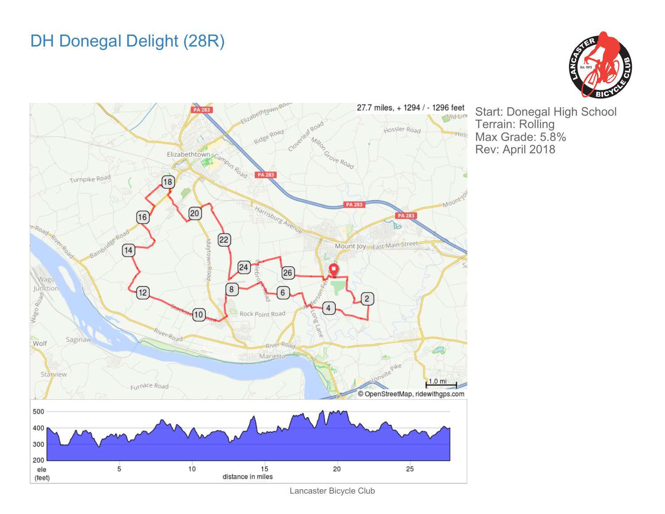## DH Donegal Delight (28R)





Start: Donegal High School Terrain: Rolling Max Grade: 5.8% Rev: April 2018

Lancaster Bicycle Club